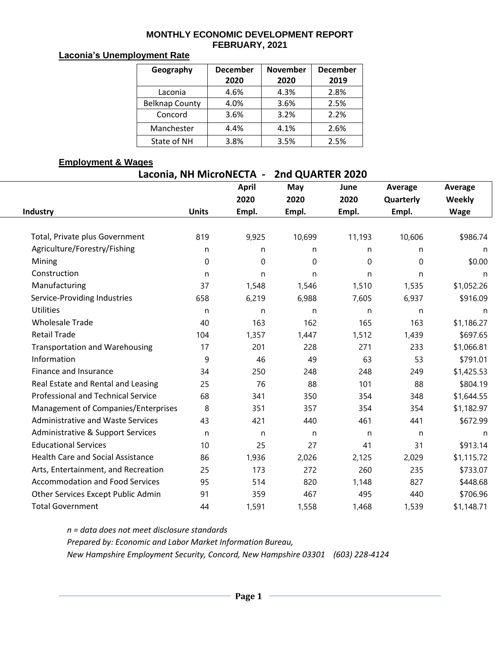#### **MONTHLY ECONOMIC DEVELOPMENT REPORT FEBRUARY, 2021**

### **Laconia's Unemployment Rate**

| Geography             | <b>December</b> | <b>November</b> | <b>December</b> |  |  |  |
|-----------------------|-----------------|-----------------|-----------------|--|--|--|
|                       | 2020            | 2020            | 2019            |  |  |  |
| Laconia               | 4.6%            | 4.3%            | 2.8%            |  |  |  |
| <b>Belknap County</b> | 4.0%            | 3.6%            | 2.5%            |  |  |  |
| Concord               | 3.6%            | 3.2%            | 2.2%            |  |  |  |
| Manchester            | 4.4%            | 4.1%            | 2.6%            |  |  |  |
| State of NH           | 3.8%            | 3.5%            | 2.5%            |  |  |  |

#### **Employment & Wages**

| Laconia, NH MicroNECTA -                  |              | 2nd QUARTER 2020 |          |        |           |             |  |  |  |
|-------------------------------------------|--------------|------------------|----------|--------|-----------|-------------|--|--|--|
|                                           |              | <b>April</b>     | May      | June   | Average   | Average     |  |  |  |
|                                           |              | 2020             | 2020     | 2020   | Quarterly | Weekly      |  |  |  |
| Industry                                  | <b>Units</b> | Empl.            | Empl.    | Empl.  | Empl.     | <b>Wage</b> |  |  |  |
|                                           |              |                  |          |        |           |             |  |  |  |
| Total, Private plus Government            | 819          | 9,925            | 10,699   | 11,193 | 10,606    | \$986.74    |  |  |  |
| Agriculture/Forestry/Fishing              | n            | n                | n        | n      | n         | n           |  |  |  |
| Mining                                    | 0            | $\mathbf 0$      | $\Omega$ | 0      | $\Omega$  | \$0.00      |  |  |  |
| Construction                              | n            | n                | n        | n      | n         | n           |  |  |  |
| Manufacturing                             | 37           | 1,548            | 1,546    | 1,510  | 1,535     | \$1,052.26  |  |  |  |
| Service-Providing Industries              | 658          | 6,219            | 6,988    | 7,605  | 6,937     | \$916.09    |  |  |  |
| <b>Utilities</b>                          | n            | n                | n        | n      | n         | n           |  |  |  |
| <b>Wholesale Trade</b>                    | 40           | 163              | 162      | 165    | 163       | \$1,186.27  |  |  |  |
| <b>Retail Trade</b>                       | 104          | 1,357            | 1,447    | 1,512  | 1,439     | \$697.65    |  |  |  |
| <b>Transportation and Warehousing</b>     | 17           | 201              | 228      | 271    | 233       | \$1,066.81  |  |  |  |
| Information                               | 9            | 46               | 49       | 63     | 53        | \$791.01    |  |  |  |
| Finance and Insurance                     | 34           | 250              | 248      | 248    | 249       | \$1,425.53  |  |  |  |
| Real Estate and Rental and Leasing        | 25           | 76               | 88       | 101    | 88        | \$804.19    |  |  |  |
| <b>Professional and Technical Service</b> | 68           | 341              | 350      | 354    | 348       | \$1,644.55  |  |  |  |
| Management of Companies/Enterprises       | 8            | 351              | 357      | 354    | 354       | \$1,182.97  |  |  |  |
| <b>Administrative and Waste Services</b>  | 43           | 421              | 440      | 461    | 441       | \$672.99    |  |  |  |
| Administrative & Support Services         | n            | n                | n        | n      | n         | n           |  |  |  |
| <b>Educational Services</b>               | 10           | 25               | 27       | 41     | 31        | \$913.14    |  |  |  |
| <b>Health Care and Social Assistance</b>  | 86           | 1,936            | 2,026    | 2,125  | 2,029     | \$1,115.72  |  |  |  |
| Arts, Entertainment, and Recreation       | 25           | 173              | 272      | 260    | 235       | \$733.07    |  |  |  |
| <b>Accommodation and Food Services</b>    | 95           | 514              | 820      | 1,148  | 827       | \$448.68    |  |  |  |
| Other Services Except Public Admin        | 91           | 359              | 467      | 495    | 440       | \$706.96    |  |  |  |
| <b>Total Government</b>                   | 44           | 1,591            | 1,558    | 1,468  | 1,539     | \$1,148.71  |  |  |  |

*n = data does not meet disclosure standards Prepared by: Economic and Labor Market Information Bureau, New Hampshire Employment Security, Concord, New Hampshire 03301 (603) 228-4124*